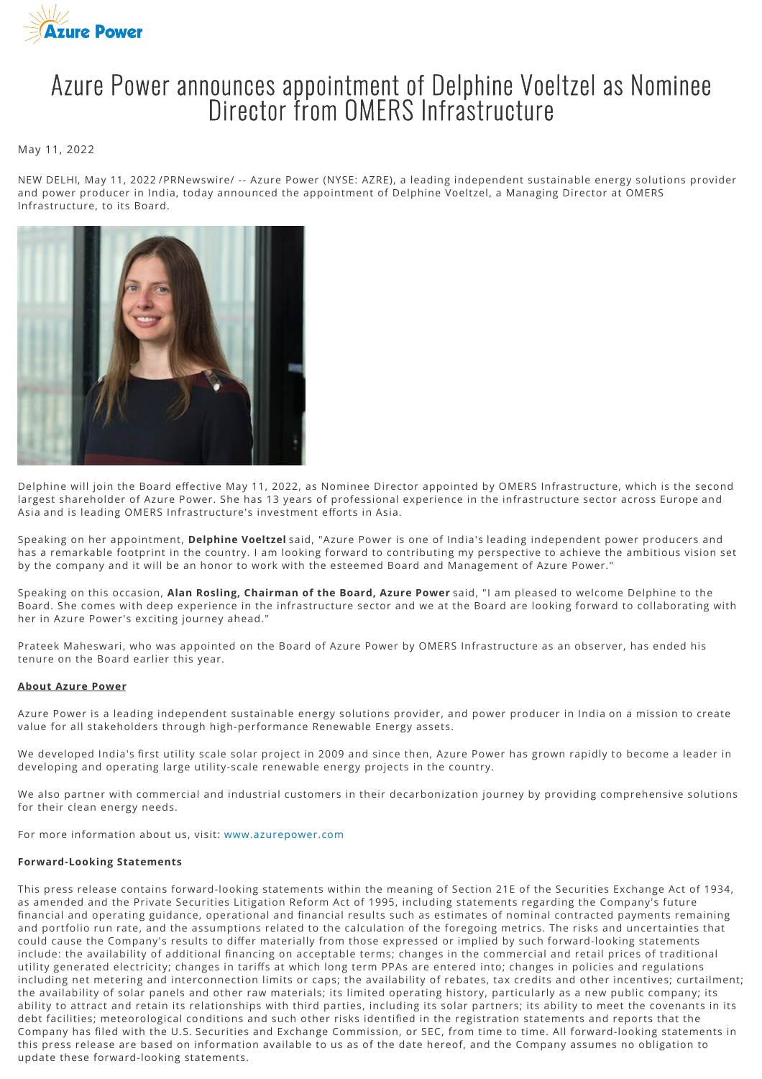

# Azure Power announces appointment of Delphine Voeltzel as Nominee Director from OMERS Infrastructure

### May 11, 2022

NEW DELHI, May 11, 2022 /PRNewswire/ -- Azure Power (NYSE: AZRE), a leading independent sustainable energy solutions provider and power producer in India, today announced the appointment of Delphine Voeltzel, a Managing Director at OMERS Infrastructure, to its Board.



Delphine will join the Board effective May 11, 2022, as Nominee Director appointed by OMERS Infrastructure, which is the second largest shareholder of Azure Power. She has 13 years of professional experience in the infrastructure sector across Europe and Asia and is leading OMERS Infrastructure's investment efforts in Asia.

Speaking on her appointment, **Delphine Voeltzel** said, "Azure Power is one of India's leading independent power producers and has a remarkable footprint in the country. I am looking forward to contributing my perspective to achieve the ambitious vision set by the company and it will be an honor to work with the esteemed Board and Management of Azure Power."

Speaking on this occasion, **Alan Rosling, Chairman of the Board, Azure Power** said, "I am pleased to welcome Delphine to the Board. She comes with deep experience in the infrastructure sector and we at the Board are looking forward to collaborating with her in Azure Power's exciting journey ahead."

Prateek Maheswari, who was appointed on the Board of Azure Power by OMERS Infrastructure as an observer, has ended his tenure on the Board earlier this year.

#### **About Azure Power**

Azure Power is a leading independent sustainable energy solutions provider, and power producer in India on a mission to create value for all stakeholders through high-performance Renewable Energy assets.

We developed India's first utility scale solar project in 2009 and since then, Azure Power has grown rapidly to become a leader in developing and operating large utility-scale renewable energy projects in the country.

We also partner with commercial and industrial customers in their decarbonization journey by providing comprehensive solutions for their clean energy needs.

For more information about us, visit: [www.azurepower.com](http://www.azurepower.com/)

#### **Forward-Looking Statements**

This press release contains forward-looking statements within the meaning of Section 21E of the Securities Exchange Act of 1934, as amended and the Private Securities Litigation Reform Act of 1995, including statements regarding the Company's future financial and operating guidance, operational and financial results such as estimates of nominal contracted payments remaining and portfolio run rate, and the assumptions related to the calculation of the foregoing metrics. The risks and uncertainties that could cause the Company's results to differ materially from those expressed or implied by such forward-looking statements include: the availability of additional financing on acceptable terms; changes in the commercial and retail prices of traditional utility generated electricity; changes in tariffs at which long term PPAs are entered into; changes in policies and regulations including net metering and interconnection limits or caps; the availability of rebates, tax credits and other incentives; curtailment; the availability of solar panels and other raw materials; its limited operating history, particularly as a new public company; its ability to attract and retain its relationships with third parties, including its solar partners; its ability to meet the covenants in its debt facilities; meteorological conditions and such other risks identified in the registration statements and reports that the Company has filed with the U.S. Securities and Exchange Commission, or SEC, from time to time. All forward-looking statements in this press release are based on information available to us as of the date hereof, and the Company assumes no obligation to update these forward-looking statements.